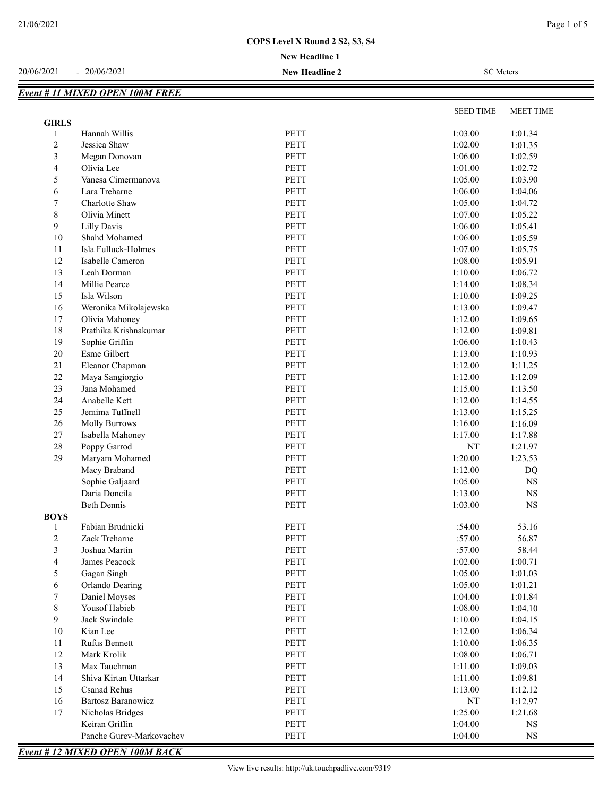**New Headline 1**

| <b>SEED TIME</b><br><b>MEET TIME</b><br><b>GIRLS</b><br>Hannah Willis<br><b>PETT</b><br>1:03.00<br>1:01.34<br>1<br>$\overline{c}$<br><b>PETT</b><br>1:02.00<br>Jessica Shaw<br>1:01.35<br>3<br><b>PETT</b><br>1:06.00<br>Megan Donovan<br>1:02.59<br>4<br>Olivia Lee<br><b>PETT</b><br>1:01.00<br>1:02.72<br>5<br>PETT<br>Vanesa Cimermanova<br>1:05.00<br>1:03.90<br>6<br><b>PETT</b><br>Lara Treharne<br>1:06.00<br>1:04.06<br>PETT<br>7<br>Charlotte Shaw<br>1:05.00<br>1:04.72<br>8<br>PETT<br>Olivia Minett<br>1:07.00<br>1:05.22<br>9<br>PETT<br><b>Lilly Davis</b><br>1:06.00<br>1:05.41<br>$10\,$<br>PETT<br>Shahd Mohamed<br>1:06.00<br>1:05.59<br>11<br>Isla Fulluck-Holmes<br><b>PETT</b><br>1:07.00<br>1:05.75<br>12<br>PETT<br>1:08.00<br>Isabelle Cameron<br>1:05.91<br>13<br>Leah Dorman<br>PETT<br>1:10.00<br>1:06.72<br>PETT<br>14<br>Millie Pearce<br>1:14.00<br>1:08.34<br>PETT<br>15<br>Isla Wilson<br>1:10.00<br>1:09.25<br>PETT<br>16<br>Weronika Mikolajewska<br>1:13.00<br>1:09.47<br>PETT<br>17<br>Olivia Mahoney<br>1:12.00<br>1:09.65<br>$18\,$<br>Prathika Krishnakumar<br>PETT<br>1:12.00<br>1:09.81<br>PETT<br>19<br>Sophie Griffin<br>1:06.00<br>1:10.43<br>20<br>Esme Gilbert<br>PETT<br>1:13.00<br>1:10.93<br>21<br>PETT<br>Eleanor Chapman<br>1:12.00<br>1:11.25<br>22<br>PETT<br>Maya Sangiorgio<br>1:12.00<br>1:12.09<br>23<br>Jana Mohamed<br>PETT<br>1:15.00<br>1:13.50<br>24<br>Anabelle Kett<br>PETT<br>1:12.00<br>1:14.55<br>25<br>PETT<br>1:13.00<br>Jemima Tuffnell<br>1:15.25<br><b>PETT</b><br>26<br>1:16.00<br>1:16.09<br><b>Molly Burrows</b><br>27<br>Isabella Mahoney<br>PETT<br>1:17.00<br>1:17.88<br>28<br>Poppy Garrod<br><b>PETT</b><br>$\rm{NT}$<br>1:21.97<br><b>PETT</b><br>29<br>Maryam Mohamed<br>1:20.00<br>1:23.53<br>Macy Braband<br><b>PETT</b><br>1:12.00<br>DQ<br>Sophie Galjaard<br><b>PETT</b><br>1:05.00<br><b>NS</b><br>PETT<br>Daria Doncila<br>1:13.00<br>NS<br><b>Beth Dennis</b><br>PETT<br>1:03.00<br>$_{\rm NS}$<br><b>BOYS</b><br>Fabian Brudnicki<br>:54.00<br>PETT<br>53.16<br>1<br>$\ensuremath{\mathsf{PETT}}$<br>$\overline{\mathbf{c}}$<br>:57.00<br>56.87<br>Zack Treharne<br>3<br>PETT<br>:57.00<br>58.44<br>Joshua Martin<br>4<br>PETT<br>1:02.00<br>1:00.71<br>James Peacock<br>PETT<br>1:05.00<br>5<br>Gagan Singh<br>1:01.03<br>6<br>Orlando Dearing<br>PETT<br>1:05.00<br>1:01.21<br>7<br>PETT<br>1:04.00<br>1:01.84<br>Daniel Moyses<br>8<br>Yousof Habieb<br>PETT<br>1:08.00<br>1:04.10<br>PETT<br>9<br>Jack Swindale<br>1:10.00<br>1:04.15<br>$10\,$<br>PETT<br>1:12.00<br>Kian Lee<br>1:06.34<br>Rufus Bennett<br>PETT<br>1:10.00<br>11<br>1:06.35<br>12<br>Mark Krolik<br>PETT<br>1:08.00<br>1:06.71<br>13<br>Max Tauchman<br>PETT<br>1:11.00<br>1:09.03<br>14<br>Shiva Kirtan Uttarkar<br>PETT<br>1:11.00<br>1:09.81<br>15<br>PETT<br>1:13.00<br><b>Csanad Rehus</b><br>1:12.12<br>16<br>PETT<br>Bartosz Baranowicz<br>NT<br>1:12.97<br>17<br>PETT<br>1:25.00<br>Nicholas Bridges<br>1:21.68<br>Keiran Griffin<br>PETT<br>1:04.00<br>NS<br>Panche Gurev-Markovachev<br><b>PETT</b><br>1:04.00<br>NS<br><b>Event #12 MIXED OPEN 100M BACK</b> | <b>Event # 11 MIXED OPEN 100M FREE</b> |  |  |
|--------------------------------------------------------------------------------------------------------------------------------------------------------------------------------------------------------------------------------------------------------------------------------------------------------------------------------------------------------------------------------------------------------------------------------------------------------------------------------------------------------------------------------------------------------------------------------------------------------------------------------------------------------------------------------------------------------------------------------------------------------------------------------------------------------------------------------------------------------------------------------------------------------------------------------------------------------------------------------------------------------------------------------------------------------------------------------------------------------------------------------------------------------------------------------------------------------------------------------------------------------------------------------------------------------------------------------------------------------------------------------------------------------------------------------------------------------------------------------------------------------------------------------------------------------------------------------------------------------------------------------------------------------------------------------------------------------------------------------------------------------------------------------------------------------------------------------------------------------------------------------------------------------------------------------------------------------------------------------------------------------------------------------------------------------------------------------------------------------------------------------------------------------------------------------------------------------------------------------------------------------------------------------------------------------------------------------------------------------------------------------------------------------------------------------------------------------------------------------------------------------------------------------------------------------------------------------------------------------------------------------------------------------------------------------------------------------------------------------------------------------------------------------------------------------------------------------------------------------------------------------------------------------------------------------------------------------------------------------------------------------------------------------------------------------------------------------------------------------------------------------------------|----------------------------------------|--|--|
|                                                                                                                                                                                                                                                                                                                                                                                                                                                                                                                                                                                                                                                                                                                                                                                                                                                                                                                                                                                                                                                                                                                                                                                                                                                                                                                                                                                                                                                                                                                                                                                                                                                                                                                                                                                                                                                                                                                                                                                                                                                                                                                                                                                                                                                                                                                                                                                                                                                                                                                                                                                                                                                                                                                                                                                                                                                                                                                                                                                                                                                                                                                                            |                                        |  |  |
|                                                                                                                                                                                                                                                                                                                                                                                                                                                                                                                                                                                                                                                                                                                                                                                                                                                                                                                                                                                                                                                                                                                                                                                                                                                                                                                                                                                                                                                                                                                                                                                                                                                                                                                                                                                                                                                                                                                                                                                                                                                                                                                                                                                                                                                                                                                                                                                                                                                                                                                                                                                                                                                                                                                                                                                                                                                                                                                                                                                                                                                                                                                                            |                                        |  |  |
|                                                                                                                                                                                                                                                                                                                                                                                                                                                                                                                                                                                                                                                                                                                                                                                                                                                                                                                                                                                                                                                                                                                                                                                                                                                                                                                                                                                                                                                                                                                                                                                                                                                                                                                                                                                                                                                                                                                                                                                                                                                                                                                                                                                                                                                                                                                                                                                                                                                                                                                                                                                                                                                                                                                                                                                                                                                                                                                                                                                                                                                                                                                                            |                                        |  |  |
|                                                                                                                                                                                                                                                                                                                                                                                                                                                                                                                                                                                                                                                                                                                                                                                                                                                                                                                                                                                                                                                                                                                                                                                                                                                                                                                                                                                                                                                                                                                                                                                                                                                                                                                                                                                                                                                                                                                                                                                                                                                                                                                                                                                                                                                                                                                                                                                                                                                                                                                                                                                                                                                                                                                                                                                                                                                                                                                                                                                                                                                                                                                                            |                                        |  |  |
|                                                                                                                                                                                                                                                                                                                                                                                                                                                                                                                                                                                                                                                                                                                                                                                                                                                                                                                                                                                                                                                                                                                                                                                                                                                                                                                                                                                                                                                                                                                                                                                                                                                                                                                                                                                                                                                                                                                                                                                                                                                                                                                                                                                                                                                                                                                                                                                                                                                                                                                                                                                                                                                                                                                                                                                                                                                                                                                                                                                                                                                                                                                                            |                                        |  |  |
|                                                                                                                                                                                                                                                                                                                                                                                                                                                                                                                                                                                                                                                                                                                                                                                                                                                                                                                                                                                                                                                                                                                                                                                                                                                                                                                                                                                                                                                                                                                                                                                                                                                                                                                                                                                                                                                                                                                                                                                                                                                                                                                                                                                                                                                                                                                                                                                                                                                                                                                                                                                                                                                                                                                                                                                                                                                                                                                                                                                                                                                                                                                                            |                                        |  |  |
|                                                                                                                                                                                                                                                                                                                                                                                                                                                                                                                                                                                                                                                                                                                                                                                                                                                                                                                                                                                                                                                                                                                                                                                                                                                                                                                                                                                                                                                                                                                                                                                                                                                                                                                                                                                                                                                                                                                                                                                                                                                                                                                                                                                                                                                                                                                                                                                                                                                                                                                                                                                                                                                                                                                                                                                                                                                                                                                                                                                                                                                                                                                                            |                                        |  |  |
|                                                                                                                                                                                                                                                                                                                                                                                                                                                                                                                                                                                                                                                                                                                                                                                                                                                                                                                                                                                                                                                                                                                                                                                                                                                                                                                                                                                                                                                                                                                                                                                                                                                                                                                                                                                                                                                                                                                                                                                                                                                                                                                                                                                                                                                                                                                                                                                                                                                                                                                                                                                                                                                                                                                                                                                                                                                                                                                                                                                                                                                                                                                                            |                                        |  |  |
|                                                                                                                                                                                                                                                                                                                                                                                                                                                                                                                                                                                                                                                                                                                                                                                                                                                                                                                                                                                                                                                                                                                                                                                                                                                                                                                                                                                                                                                                                                                                                                                                                                                                                                                                                                                                                                                                                                                                                                                                                                                                                                                                                                                                                                                                                                                                                                                                                                                                                                                                                                                                                                                                                                                                                                                                                                                                                                                                                                                                                                                                                                                                            |                                        |  |  |
|                                                                                                                                                                                                                                                                                                                                                                                                                                                                                                                                                                                                                                                                                                                                                                                                                                                                                                                                                                                                                                                                                                                                                                                                                                                                                                                                                                                                                                                                                                                                                                                                                                                                                                                                                                                                                                                                                                                                                                                                                                                                                                                                                                                                                                                                                                                                                                                                                                                                                                                                                                                                                                                                                                                                                                                                                                                                                                                                                                                                                                                                                                                                            |                                        |  |  |
|                                                                                                                                                                                                                                                                                                                                                                                                                                                                                                                                                                                                                                                                                                                                                                                                                                                                                                                                                                                                                                                                                                                                                                                                                                                                                                                                                                                                                                                                                                                                                                                                                                                                                                                                                                                                                                                                                                                                                                                                                                                                                                                                                                                                                                                                                                                                                                                                                                                                                                                                                                                                                                                                                                                                                                                                                                                                                                                                                                                                                                                                                                                                            |                                        |  |  |
|                                                                                                                                                                                                                                                                                                                                                                                                                                                                                                                                                                                                                                                                                                                                                                                                                                                                                                                                                                                                                                                                                                                                                                                                                                                                                                                                                                                                                                                                                                                                                                                                                                                                                                                                                                                                                                                                                                                                                                                                                                                                                                                                                                                                                                                                                                                                                                                                                                                                                                                                                                                                                                                                                                                                                                                                                                                                                                                                                                                                                                                                                                                                            |                                        |  |  |
|                                                                                                                                                                                                                                                                                                                                                                                                                                                                                                                                                                                                                                                                                                                                                                                                                                                                                                                                                                                                                                                                                                                                                                                                                                                                                                                                                                                                                                                                                                                                                                                                                                                                                                                                                                                                                                                                                                                                                                                                                                                                                                                                                                                                                                                                                                                                                                                                                                                                                                                                                                                                                                                                                                                                                                                                                                                                                                                                                                                                                                                                                                                                            |                                        |  |  |
|                                                                                                                                                                                                                                                                                                                                                                                                                                                                                                                                                                                                                                                                                                                                                                                                                                                                                                                                                                                                                                                                                                                                                                                                                                                                                                                                                                                                                                                                                                                                                                                                                                                                                                                                                                                                                                                                                                                                                                                                                                                                                                                                                                                                                                                                                                                                                                                                                                                                                                                                                                                                                                                                                                                                                                                                                                                                                                                                                                                                                                                                                                                                            |                                        |  |  |
|                                                                                                                                                                                                                                                                                                                                                                                                                                                                                                                                                                                                                                                                                                                                                                                                                                                                                                                                                                                                                                                                                                                                                                                                                                                                                                                                                                                                                                                                                                                                                                                                                                                                                                                                                                                                                                                                                                                                                                                                                                                                                                                                                                                                                                                                                                                                                                                                                                                                                                                                                                                                                                                                                                                                                                                                                                                                                                                                                                                                                                                                                                                                            |                                        |  |  |
|                                                                                                                                                                                                                                                                                                                                                                                                                                                                                                                                                                                                                                                                                                                                                                                                                                                                                                                                                                                                                                                                                                                                                                                                                                                                                                                                                                                                                                                                                                                                                                                                                                                                                                                                                                                                                                                                                                                                                                                                                                                                                                                                                                                                                                                                                                                                                                                                                                                                                                                                                                                                                                                                                                                                                                                                                                                                                                                                                                                                                                                                                                                                            |                                        |  |  |
|                                                                                                                                                                                                                                                                                                                                                                                                                                                                                                                                                                                                                                                                                                                                                                                                                                                                                                                                                                                                                                                                                                                                                                                                                                                                                                                                                                                                                                                                                                                                                                                                                                                                                                                                                                                                                                                                                                                                                                                                                                                                                                                                                                                                                                                                                                                                                                                                                                                                                                                                                                                                                                                                                                                                                                                                                                                                                                                                                                                                                                                                                                                                            |                                        |  |  |
|                                                                                                                                                                                                                                                                                                                                                                                                                                                                                                                                                                                                                                                                                                                                                                                                                                                                                                                                                                                                                                                                                                                                                                                                                                                                                                                                                                                                                                                                                                                                                                                                                                                                                                                                                                                                                                                                                                                                                                                                                                                                                                                                                                                                                                                                                                                                                                                                                                                                                                                                                                                                                                                                                                                                                                                                                                                                                                                                                                                                                                                                                                                                            |                                        |  |  |
|                                                                                                                                                                                                                                                                                                                                                                                                                                                                                                                                                                                                                                                                                                                                                                                                                                                                                                                                                                                                                                                                                                                                                                                                                                                                                                                                                                                                                                                                                                                                                                                                                                                                                                                                                                                                                                                                                                                                                                                                                                                                                                                                                                                                                                                                                                                                                                                                                                                                                                                                                                                                                                                                                                                                                                                                                                                                                                                                                                                                                                                                                                                                            |                                        |  |  |
|                                                                                                                                                                                                                                                                                                                                                                                                                                                                                                                                                                                                                                                                                                                                                                                                                                                                                                                                                                                                                                                                                                                                                                                                                                                                                                                                                                                                                                                                                                                                                                                                                                                                                                                                                                                                                                                                                                                                                                                                                                                                                                                                                                                                                                                                                                                                                                                                                                                                                                                                                                                                                                                                                                                                                                                                                                                                                                                                                                                                                                                                                                                                            |                                        |  |  |
|                                                                                                                                                                                                                                                                                                                                                                                                                                                                                                                                                                                                                                                                                                                                                                                                                                                                                                                                                                                                                                                                                                                                                                                                                                                                                                                                                                                                                                                                                                                                                                                                                                                                                                                                                                                                                                                                                                                                                                                                                                                                                                                                                                                                                                                                                                                                                                                                                                                                                                                                                                                                                                                                                                                                                                                                                                                                                                                                                                                                                                                                                                                                            |                                        |  |  |
|                                                                                                                                                                                                                                                                                                                                                                                                                                                                                                                                                                                                                                                                                                                                                                                                                                                                                                                                                                                                                                                                                                                                                                                                                                                                                                                                                                                                                                                                                                                                                                                                                                                                                                                                                                                                                                                                                                                                                                                                                                                                                                                                                                                                                                                                                                                                                                                                                                                                                                                                                                                                                                                                                                                                                                                                                                                                                                                                                                                                                                                                                                                                            |                                        |  |  |
|                                                                                                                                                                                                                                                                                                                                                                                                                                                                                                                                                                                                                                                                                                                                                                                                                                                                                                                                                                                                                                                                                                                                                                                                                                                                                                                                                                                                                                                                                                                                                                                                                                                                                                                                                                                                                                                                                                                                                                                                                                                                                                                                                                                                                                                                                                                                                                                                                                                                                                                                                                                                                                                                                                                                                                                                                                                                                                                                                                                                                                                                                                                                            |                                        |  |  |
|                                                                                                                                                                                                                                                                                                                                                                                                                                                                                                                                                                                                                                                                                                                                                                                                                                                                                                                                                                                                                                                                                                                                                                                                                                                                                                                                                                                                                                                                                                                                                                                                                                                                                                                                                                                                                                                                                                                                                                                                                                                                                                                                                                                                                                                                                                                                                                                                                                                                                                                                                                                                                                                                                                                                                                                                                                                                                                                                                                                                                                                                                                                                            |                                        |  |  |
|                                                                                                                                                                                                                                                                                                                                                                                                                                                                                                                                                                                                                                                                                                                                                                                                                                                                                                                                                                                                                                                                                                                                                                                                                                                                                                                                                                                                                                                                                                                                                                                                                                                                                                                                                                                                                                                                                                                                                                                                                                                                                                                                                                                                                                                                                                                                                                                                                                                                                                                                                                                                                                                                                                                                                                                                                                                                                                                                                                                                                                                                                                                                            |                                        |  |  |
|                                                                                                                                                                                                                                                                                                                                                                                                                                                                                                                                                                                                                                                                                                                                                                                                                                                                                                                                                                                                                                                                                                                                                                                                                                                                                                                                                                                                                                                                                                                                                                                                                                                                                                                                                                                                                                                                                                                                                                                                                                                                                                                                                                                                                                                                                                                                                                                                                                                                                                                                                                                                                                                                                                                                                                                                                                                                                                                                                                                                                                                                                                                                            |                                        |  |  |
|                                                                                                                                                                                                                                                                                                                                                                                                                                                                                                                                                                                                                                                                                                                                                                                                                                                                                                                                                                                                                                                                                                                                                                                                                                                                                                                                                                                                                                                                                                                                                                                                                                                                                                                                                                                                                                                                                                                                                                                                                                                                                                                                                                                                                                                                                                                                                                                                                                                                                                                                                                                                                                                                                                                                                                                                                                                                                                                                                                                                                                                                                                                                            |                                        |  |  |
|                                                                                                                                                                                                                                                                                                                                                                                                                                                                                                                                                                                                                                                                                                                                                                                                                                                                                                                                                                                                                                                                                                                                                                                                                                                                                                                                                                                                                                                                                                                                                                                                                                                                                                                                                                                                                                                                                                                                                                                                                                                                                                                                                                                                                                                                                                                                                                                                                                                                                                                                                                                                                                                                                                                                                                                                                                                                                                                                                                                                                                                                                                                                            |                                        |  |  |
|                                                                                                                                                                                                                                                                                                                                                                                                                                                                                                                                                                                                                                                                                                                                                                                                                                                                                                                                                                                                                                                                                                                                                                                                                                                                                                                                                                                                                                                                                                                                                                                                                                                                                                                                                                                                                                                                                                                                                                                                                                                                                                                                                                                                                                                                                                                                                                                                                                                                                                                                                                                                                                                                                                                                                                                                                                                                                                                                                                                                                                                                                                                                            |                                        |  |  |
|                                                                                                                                                                                                                                                                                                                                                                                                                                                                                                                                                                                                                                                                                                                                                                                                                                                                                                                                                                                                                                                                                                                                                                                                                                                                                                                                                                                                                                                                                                                                                                                                                                                                                                                                                                                                                                                                                                                                                                                                                                                                                                                                                                                                                                                                                                                                                                                                                                                                                                                                                                                                                                                                                                                                                                                                                                                                                                                                                                                                                                                                                                                                            |                                        |  |  |
|                                                                                                                                                                                                                                                                                                                                                                                                                                                                                                                                                                                                                                                                                                                                                                                                                                                                                                                                                                                                                                                                                                                                                                                                                                                                                                                                                                                                                                                                                                                                                                                                                                                                                                                                                                                                                                                                                                                                                                                                                                                                                                                                                                                                                                                                                                                                                                                                                                                                                                                                                                                                                                                                                                                                                                                                                                                                                                                                                                                                                                                                                                                                            |                                        |  |  |
|                                                                                                                                                                                                                                                                                                                                                                                                                                                                                                                                                                                                                                                                                                                                                                                                                                                                                                                                                                                                                                                                                                                                                                                                                                                                                                                                                                                                                                                                                                                                                                                                                                                                                                                                                                                                                                                                                                                                                                                                                                                                                                                                                                                                                                                                                                                                                                                                                                                                                                                                                                                                                                                                                                                                                                                                                                                                                                                                                                                                                                                                                                                                            |                                        |  |  |
|                                                                                                                                                                                                                                                                                                                                                                                                                                                                                                                                                                                                                                                                                                                                                                                                                                                                                                                                                                                                                                                                                                                                                                                                                                                                                                                                                                                                                                                                                                                                                                                                                                                                                                                                                                                                                                                                                                                                                                                                                                                                                                                                                                                                                                                                                                                                                                                                                                                                                                                                                                                                                                                                                                                                                                                                                                                                                                                                                                                                                                                                                                                                            |                                        |  |  |
|                                                                                                                                                                                                                                                                                                                                                                                                                                                                                                                                                                                                                                                                                                                                                                                                                                                                                                                                                                                                                                                                                                                                                                                                                                                                                                                                                                                                                                                                                                                                                                                                                                                                                                                                                                                                                                                                                                                                                                                                                                                                                                                                                                                                                                                                                                                                                                                                                                                                                                                                                                                                                                                                                                                                                                                                                                                                                                                                                                                                                                                                                                                                            |                                        |  |  |
|                                                                                                                                                                                                                                                                                                                                                                                                                                                                                                                                                                                                                                                                                                                                                                                                                                                                                                                                                                                                                                                                                                                                                                                                                                                                                                                                                                                                                                                                                                                                                                                                                                                                                                                                                                                                                                                                                                                                                                                                                                                                                                                                                                                                                                                                                                                                                                                                                                                                                                                                                                                                                                                                                                                                                                                                                                                                                                                                                                                                                                                                                                                                            |                                        |  |  |
|                                                                                                                                                                                                                                                                                                                                                                                                                                                                                                                                                                                                                                                                                                                                                                                                                                                                                                                                                                                                                                                                                                                                                                                                                                                                                                                                                                                                                                                                                                                                                                                                                                                                                                                                                                                                                                                                                                                                                                                                                                                                                                                                                                                                                                                                                                                                                                                                                                                                                                                                                                                                                                                                                                                                                                                                                                                                                                                                                                                                                                                                                                                                            |                                        |  |  |
|                                                                                                                                                                                                                                                                                                                                                                                                                                                                                                                                                                                                                                                                                                                                                                                                                                                                                                                                                                                                                                                                                                                                                                                                                                                                                                                                                                                                                                                                                                                                                                                                                                                                                                                                                                                                                                                                                                                                                                                                                                                                                                                                                                                                                                                                                                                                                                                                                                                                                                                                                                                                                                                                                                                                                                                                                                                                                                                                                                                                                                                                                                                                            |                                        |  |  |
|                                                                                                                                                                                                                                                                                                                                                                                                                                                                                                                                                                                                                                                                                                                                                                                                                                                                                                                                                                                                                                                                                                                                                                                                                                                                                                                                                                                                                                                                                                                                                                                                                                                                                                                                                                                                                                                                                                                                                                                                                                                                                                                                                                                                                                                                                                                                                                                                                                                                                                                                                                                                                                                                                                                                                                                                                                                                                                                                                                                                                                                                                                                                            |                                        |  |  |
|                                                                                                                                                                                                                                                                                                                                                                                                                                                                                                                                                                                                                                                                                                                                                                                                                                                                                                                                                                                                                                                                                                                                                                                                                                                                                                                                                                                                                                                                                                                                                                                                                                                                                                                                                                                                                                                                                                                                                                                                                                                                                                                                                                                                                                                                                                                                                                                                                                                                                                                                                                                                                                                                                                                                                                                                                                                                                                                                                                                                                                                                                                                                            |                                        |  |  |
|                                                                                                                                                                                                                                                                                                                                                                                                                                                                                                                                                                                                                                                                                                                                                                                                                                                                                                                                                                                                                                                                                                                                                                                                                                                                                                                                                                                                                                                                                                                                                                                                                                                                                                                                                                                                                                                                                                                                                                                                                                                                                                                                                                                                                                                                                                                                                                                                                                                                                                                                                                                                                                                                                                                                                                                                                                                                                                                                                                                                                                                                                                                                            |                                        |  |  |
|                                                                                                                                                                                                                                                                                                                                                                                                                                                                                                                                                                                                                                                                                                                                                                                                                                                                                                                                                                                                                                                                                                                                                                                                                                                                                                                                                                                                                                                                                                                                                                                                                                                                                                                                                                                                                                                                                                                                                                                                                                                                                                                                                                                                                                                                                                                                                                                                                                                                                                                                                                                                                                                                                                                                                                                                                                                                                                                                                                                                                                                                                                                                            |                                        |  |  |
|                                                                                                                                                                                                                                                                                                                                                                                                                                                                                                                                                                                                                                                                                                                                                                                                                                                                                                                                                                                                                                                                                                                                                                                                                                                                                                                                                                                                                                                                                                                                                                                                                                                                                                                                                                                                                                                                                                                                                                                                                                                                                                                                                                                                                                                                                                                                                                                                                                                                                                                                                                                                                                                                                                                                                                                                                                                                                                                                                                                                                                                                                                                                            |                                        |  |  |
|                                                                                                                                                                                                                                                                                                                                                                                                                                                                                                                                                                                                                                                                                                                                                                                                                                                                                                                                                                                                                                                                                                                                                                                                                                                                                                                                                                                                                                                                                                                                                                                                                                                                                                                                                                                                                                                                                                                                                                                                                                                                                                                                                                                                                                                                                                                                                                                                                                                                                                                                                                                                                                                                                                                                                                                                                                                                                                                                                                                                                                                                                                                                            |                                        |  |  |
|                                                                                                                                                                                                                                                                                                                                                                                                                                                                                                                                                                                                                                                                                                                                                                                                                                                                                                                                                                                                                                                                                                                                                                                                                                                                                                                                                                                                                                                                                                                                                                                                                                                                                                                                                                                                                                                                                                                                                                                                                                                                                                                                                                                                                                                                                                                                                                                                                                                                                                                                                                                                                                                                                                                                                                                                                                                                                                                                                                                                                                                                                                                                            |                                        |  |  |
|                                                                                                                                                                                                                                                                                                                                                                                                                                                                                                                                                                                                                                                                                                                                                                                                                                                                                                                                                                                                                                                                                                                                                                                                                                                                                                                                                                                                                                                                                                                                                                                                                                                                                                                                                                                                                                                                                                                                                                                                                                                                                                                                                                                                                                                                                                                                                                                                                                                                                                                                                                                                                                                                                                                                                                                                                                                                                                                                                                                                                                                                                                                                            |                                        |  |  |
|                                                                                                                                                                                                                                                                                                                                                                                                                                                                                                                                                                                                                                                                                                                                                                                                                                                                                                                                                                                                                                                                                                                                                                                                                                                                                                                                                                                                                                                                                                                                                                                                                                                                                                                                                                                                                                                                                                                                                                                                                                                                                                                                                                                                                                                                                                                                                                                                                                                                                                                                                                                                                                                                                                                                                                                                                                                                                                                                                                                                                                                                                                                                            |                                        |  |  |
|                                                                                                                                                                                                                                                                                                                                                                                                                                                                                                                                                                                                                                                                                                                                                                                                                                                                                                                                                                                                                                                                                                                                                                                                                                                                                                                                                                                                                                                                                                                                                                                                                                                                                                                                                                                                                                                                                                                                                                                                                                                                                                                                                                                                                                                                                                                                                                                                                                                                                                                                                                                                                                                                                                                                                                                                                                                                                                                                                                                                                                                                                                                                            |                                        |  |  |
|                                                                                                                                                                                                                                                                                                                                                                                                                                                                                                                                                                                                                                                                                                                                                                                                                                                                                                                                                                                                                                                                                                                                                                                                                                                                                                                                                                                                                                                                                                                                                                                                                                                                                                                                                                                                                                                                                                                                                                                                                                                                                                                                                                                                                                                                                                                                                                                                                                                                                                                                                                                                                                                                                                                                                                                                                                                                                                                                                                                                                                                                                                                                            |                                        |  |  |
|                                                                                                                                                                                                                                                                                                                                                                                                                                                                                                                                                                                                                                                                                                                                                                                                                                                                                                                                                                                                                                                                                                                                                                                                                                                                                                                                                                                                                                                                                                                                                                                                                                                                                                                                                                                                                                                                                                                                                                                                                                                                                                                                                                                                                                                                                                                                                                                                                                                                                                                                                                                                                                                                                                                                                                                                                                                                                                                                                                                                                                                                                                                                            |                                        |  |  |
|                                                                                                                                                                                                                                                                                                                                                                                                                                                                                                                                                                                                                                                                                                                                                                                                                                                                                                                                                                                                                                                                                                                                                                                                                                                                                                                                                                                                                                                                                                                                                                                                                                                                                                                                                                                                                                                                                                                                                                                                                                                                                                                                                                                                                                                                                                                                                                                                                                                                                                                                                                                                                                                                                                                                                                                                                                                                                                                                                                                                                                                                                                                                            |                                        |  |  |
|                                                                                                                                                                                                                                                                                                                                                                                                                                                                                                                                                                                                                                                                                                                                                                                                                                                                                                                                                                                                                                                                                                                                                                                                                                                                                                                                                                                                                                                                                                                                                                                                                                                                                                                                                                                                                                                                                                                                                                                                                                                                                                                                                                                                                                                                                                                                                                                                                                                                                                                                                                                                                                                                                                                                                                                                                                                                                                                                                                                                                                                                                                                                            |                                        |  |  |
|                                                                                                                                                                                                                                                                                                                                                                                                                                                                                                                                                                                                                                                                                                                                                                                                                                                                                                                                                                                                                                                                                                                                                                                                                                                                                                                                                                                                                                                                                                                                                                                                                                                                                                                                                                                                                                                                                                                                                                                                                                                                                                                                                                                                                                                                                                                                                                                                                                                                                                                                                                                                                                                                                                                                                                                                                                                                                                                                                                                                                                                                                                                                            |                                        |  |  |
|                                                                                                                                                                                                                                                                                                                                                                                                                                                                                                                                                                                                                                                                                                                                                                                                                                                                                                                                                                                                                                                                                                                                                                                                                                                                                                                                                                                                                                                                                                                                                                                                                                                                                                                                                                                                                                                                                                                                                                                                                                                                                                                                                                                                                                                                                                                                                                                                                                                                                                                                                                                                                                                                                                                                                                                                                                                                                                                                                                                                                                                                                                                                            |                                        |  |  |
|                                                                                                                                                                                                                                                                                                                                                                                                                                                                                                                                                                                                                                                                                                                                                                                                                                                                                                                                                                                                                                                                                                                                                                                                                                                                                                                                                                                                                                                                                                                                                                                                                                                                                                                                                                                                                                                                                                                                                                                                                                                                                                                                                                                                                                                                                                                                                                                                                                                                                                                                                                                                                                                                                                                                                                                                                                                                                                                                                                                                                                                                                                                                            |                                        |  |  |
|                                                                                                                                                                                                                                                                                                                                                                                                                                                                                                                                                                                                                                                                                                                                                                                                                                                                                                                                                                                                                                                                                                                                                                                                                                                                                                                                                                                                                                                                                                                                                                                                                                                                                                                                                                                                                                                                                                                                                                                                                                                                                                                                                                                                                                                                                                                                                                                                                                                                                                                                                                                                                                                                                                                                                                                                                                                                                                                                                                                                                                                                                                                                            |                                        |  |  |
|                                                                                                                                                                                                                                                                                                                                                                                                                                                                                                                                                                                                                                                                                                                                                                                                                                                                                                                                                                                                                                                                                                                                                                                                                                                                                                                                                                                                                                                                                                                                                                                                                                                                                                                                                                                                                                                                                                                                                                                                                                                                                                                                                                                                                                                                                                                                                                                                                                                                                                                                                                                                                                                                                                                                                                                                                                                                                                                                                                                                                                                                                                                                            |                                        |  |  |
|                                                                                                                                                                                                                                                                                                                                                                                                                                                                                                                                                                                                                                                                                                                                                                                                                                                                                                                                                                                                                                                                                                                                                                                                                                                                                                                                                                                                                                                                                                                                                                                                                                                                                                                                                                                                                                                                                                                                                                                                                                                                                                                                                                                                                                                                                                                                                                                                                                                                                                                                                                                                                                                                                                                                                                                                                                                                                                                                                                                                                                                                                                                                            |                                        |  |  |

# 20/06/2021 - 20/06/2021 **New Headline 2** SC Meters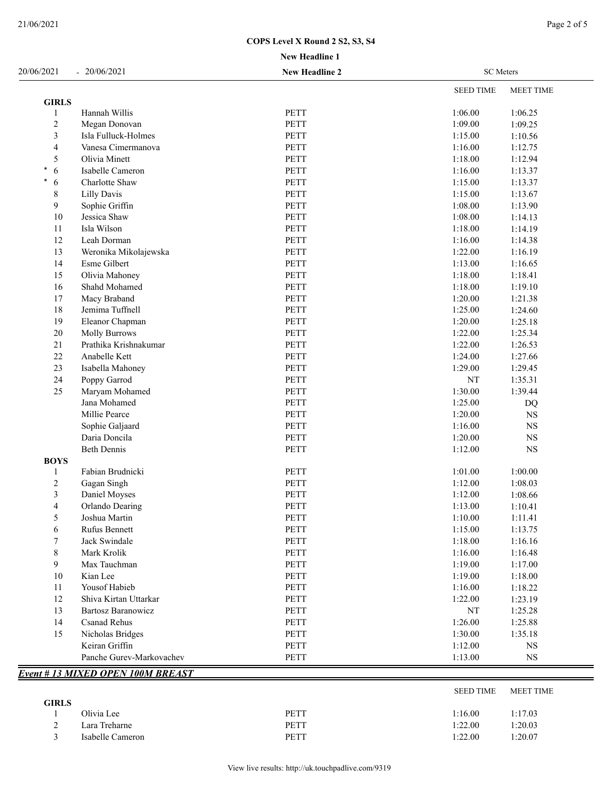| 20/06/2021       | $-20/06/2021$             | <b>New Headline 2</b> | <b>SC</b> Meters |                  |
|------------------|---------------------------|-----------------------|------------------|------------------|
|                  |                           |                       | <b>SEED TIME</b> | <b>MEET TIME</b> |
| <b>GIRLS</b>     |                           |                       |                  |                  |
| 1                | Hannah Willis             | PETT                  | 1:06.00          | 1:06.25          |
| $\boldsymbol{2}$ | Megan Donovan             | PETT                  | 1:09.00          | 1:09.25          |
| 3                | Isla Fulluck-Holmes       | <b>PETT</b>           | 1:15.00          | 1:10.56          |
| 4                | Vanesa Cimermanova        | PETT                  | 1:16.00          | 1:12.75          |
| 5                | Olivia Minett             | PETT                  | 1:18.00          | 1:12.94          |
| 6                | Isabelle Cameron          | <b>PETT</b>           | 1:16.00          | 1:13.37          |
| 6                | Charlotte Shaw            | <b>PETT</b>           | 1:15.00          | 1:13.37          |
| 8                | <b>Lilly Davis</b>        | <b>PETT</b>           | 1:15.00          | 1:13.67          |
| 9                | Sophie Griffin            | PETT                  | 1:08.00          | 1:13.90          |
| 10               | Jessica Shaw              | PETT                  | 1:08.00          | 1:14.13          |
| 11               | Isla Wilson               | PETT                  | 1:18.00          | 1:14.19          |
| 12               | Leah Dorman               | PETT                  | 1:16.00          | 1:14.38          |
| 13               | Weronika Mikolajewska     | <b>PETT</b>           | 1:22.00          | 1:16.19          |
| 14               | Esme Gilbert              | PETT                  | 1:13.00          | 1:16.65          |
| 15               | Olivia Mahoney            | PETT                  | 1:18.00          | 1:18.41          |
| 16               | Shahd Mohamed             | <b>PETT</b>           | 1:18.00          | 1:19.10          |
| 17               | Macy Braband              | <b>PETT</b>           | 1:20.00          | 1:21.38          |
| 18               | Jemima Tuffnell           | PETT                  | 1:25.00          | 1:24.60          |
| 19               | Eleanor Chapman           | <b>PETT</b>           | 1:20.00          | 1:25.18          |
| $20\,$           | <b>Molly Burrows</b>      | <b>PETT</b>           | 1:22.00          | 1:25.34          |
| 21               | Prathika Krishnakumar     | <b>PETT</b>           | 1:22.00          | 1:26.53          |
| 22               | Anabelle Kett             | PETT                  | 1:24.00          | 1:27.66          |
| 23               | Isabella Mahoney          | PETT                  | 1:29.00          | 1:29.45          |
| 24               | Poppy Garrod              | PETT                  | $\rm{NT}$        | 1:35.31          |
| 25               | Maryam Mohamed            | PETT                  | 1:30.00          | 1:39.44          |
|                  | Jana Mohamed              | <b>PETT</b>           | 1:25.00          | <b>DQ</b>        |
|                  | Millie Pearce             | PETT                  | 1:20.00          | $_{\rm NS}$      |
|                  | Sophie Galjaard           | PETT                  | 1:16.00          | $_{\rm NS}$      |
|                  | Daria Doncila             | <b>PETT</b>           | 1:20.00          | $_{\rm NS}$      |
|                  | <b>Beth Dennis</b>        | <b>PETT</b>           | 1:12.00          | $_{\rm NS}$      |
| <b>BOYS</b>      |                           |                       |                  |                  |
| 1                | Fabian Brudnicki          | <b>PETT</b>           | 1:01.00          | 1:00.00          |
| 2                | Gagan Singh               | PETT                  | 1:12.00          | 1:08.03          |
| 3                | Daniel Moyses             | PETT                  | 1:12.00          | 1:08.66          |
| $\overline{4}$   | Orlando Dearing           | PETT                  | 1:13.00          | 1:10.41          |
| 5                | Joshua Martin             | PETT                  | 1:10.00          | 1:11.41          |
| 6                | Rufus Bennett             | PETT                  | 1:15.00          | 1:13.75          |
|                  | Jack Swindale             | PETT                  | 1:18.00          | 1:16.16          |
| 7                |                           |                       |                  |                  |
| 8                | Mark Krolik               | PETT                  | 1:16.00          | 1:16.48          |
| 9                | Max Tauchman              | PETT                  | 1:19.00          | 1:17.00          |
| 10               | Kian Lee                  | PETT                  | 1:19.00          | 1:18.00          |
| 11               | Yousof Habieb             | PETT                  | 1:16.00          | 1:18.22          |
| 12               | Shiva Kirtan Uttarkar     | PETT                  | 1:22.00          | 1:23.19          |
| 13               | <b>Bartosz Baranowicz</b> | PETT                  | NT               | 1:25.28          |
| 14               | <b>Csanad Rehus</b>       | PETT                  | 1:26.00          | 1:25.88          |
| 15               | Nicholas Bridges          | PETT                  | 1:30.00          | 1:35.18          |
|                  | Keiran Griffin            | PETT                  | 1:12.00          | NS               |
|                  | Panche Gurev-Markovachev  | PETT                  | 1:13.00          | <b>NS</b>        |

|              |                  |      | OLLD THAIL | $IVILLLI$ $IIIVIL$ |
|--------------|------------------|------|------------|--------------------|
| <b>GIRLS</b> |                  |      |            |                    |
|              | Olivia Lee       | PETT | 1:16.00    | 1:17.03            |
| ∸            | Lara Treharne    | PETT | 1:22.00    | 1:20.03            |
|              | Isabelle Cameron | PETT | 1:22.00    | 1:20.07            |
|              |                  |      |            |                    |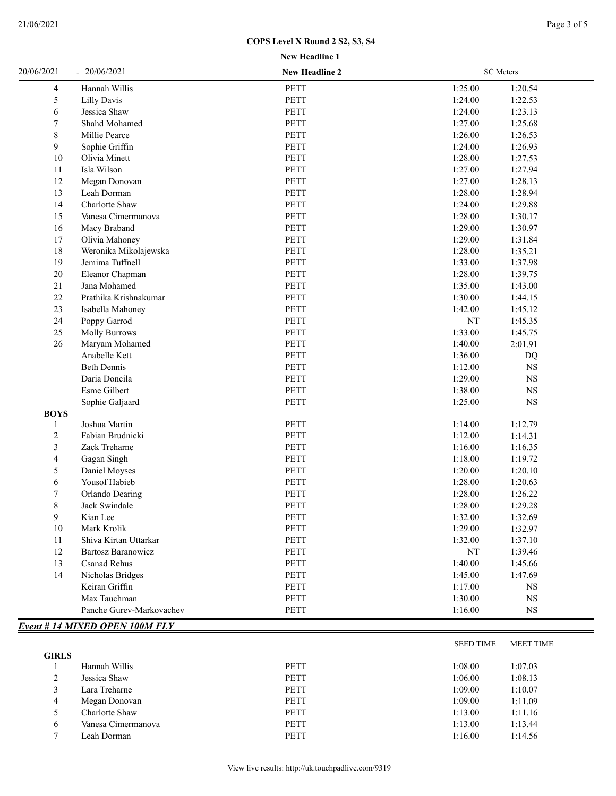| <b>New Headline 1</b> |  |
|-----------------------|--|
|                       |  |

| Hannah Willis<br><b>PETT</b><br>1:25.00<br>1:20.54<br>4<br>5<br>PETT<br>1:24.00<br>Lilly Davis<br>1:22.53<br>6<br><b>PETT</b><br>1:24.00<br>Jessica Shaw<br>1:23.13<br>7<br>PETT<br>1:27.00<br>Shahd Mohamed<br>1:25.68<br>8<br><b>PETT</b><br>1:26.00<br>Millie Pearce<br>1:26.53<br>9<br>Sophie Griffin<br><b>PETT</b><br>1:24.00<br>1:26.93<br>PETT<br>10<br>1:28.00<br>1:27.53<br>Olivia Minett<br>Isla Wilson<br><b>PETT</b><br>1:27.00<br>1:27.94<br>11<br>12<br>Megan Donovan<br><b>PETT</b><br>1:27.00<br>1:28.13<br>13<br><b>PETT</b><br>1:28.00<br>Leah Dorman<br>1:28.94<br>14<br>Charlotte Shaw<br>PETT<br>1:24.00<br>1:29.88<br>15<br>Vanesa Cimermanova<br>PETT<br>1:28.00<br>1:30.17<br>PETT<br>16<br>Macy Braband<br>1:29.00<br>1:30.97<br>17<br>Olivia Mahoney<br>PETT<br>1:29.00<br>1:31.84<br>18<br>Weronika Mikolajewska<br>PETT<br>1:28.00<br>1:35.21<br>19<br>Jemima Tuffnell<br><b>PETT</b><br>1:33.00<br>1:37.98<br>20<br><b>PETT</b><br>1:28.00<br>1:39.75<br>Eleanor Chapman<br>21<br>Jana Mohamed<br><b>PETT</b><br>1:35.00<br>1:43.00<br>PETT<br>22<br>Prathika Krishnakumar<br>1:30.00<br>1:44.15<br>23<br>PETT<br>1:42.00<br>Isabella Mahoney<br>1:45.12<br>PETT<br>24<br>Poppy Garrod<br>NT<br>1:45.35<br>25<br><b>Molly Burrows</b><br><b>PETT</b><br>1:33.00<br>1:45.75<br>PETT<br>26<br>Maryam Mohamed<br>1:40.00<br>2:01.91<br>Anabelle Kett<br>PETT<br>1:36.00<br><b>DQ</b><br><b>Beth Dennis</b><br>PETT<br>1:12.00<br>$_{\rm NS}$<br>Daria Doncila<br>PETT<br>1:29.00<br>$_{\rm NS}$<br>Esme Gilbert<br>PETT<br>1:38.00<br>$_{\rm NS}$<br>Sophie Galjaard<br>PETT<br>1:25.00<br>$_{\rm NS}$<br><b>BOYS</b><br>Joshua Martin<br><b>PETT</b><br>1:14.00<br>1:12.79<br>$\mathbf{1}$<br>PETT<br>2<br>Fabian Brudnicki<br>1:12.00<br>1:14.31<br>3<br><b>PETT</b><br>1:16.00<br>Zack Treharne<br>1:16.35<br>4<br><b>PETT</b><br>Gagan Singh<br>1:18.00<br>1:19.72<br>5<br><b>PETT</b><br>Daniel Moyses<br>1:20.00<br>1:20.10<br>6<br>Yousof Habieb<br>PETT<br>1:28.00<br>1:20.63<br>7<br>Orlando Dearing<br>PETT<br>1:28.00<br>1:26.22<br>$\,$ $\,$<br><b>PETT</b><br>Jack Swindale<br>1:28.00<br>1:29.28<br>9<br>Kian Lee<br>PETT<br>1:32.00<br>1:32.69<br>10<br>Mark Krolik<br>PETT<br>1:29.00<br>1:32.97<br>PETT<br>1:32.00<br>11<br>Shiva Kirtan Uttarkar<br>1:37.10<br>12<br>PETT<br><b>Bartosz Baranowicz</b><br>NT<br>1:39.46<br>PETT<br>1:40.00<br>13<br><b>Csanad Rehus</b><br>1:45.66 | 20/06/2021 | $-20/06/2021$    | <b>New Headline 2</b> |         | <b>SC</b> Meters |  |
|---------------------------------------------------------------------------------------------------------------------------------------------------------------------------------------------------------------------------------------------------------------------------------------------------------------------------------------------------------------------------------------------------------------------------------------------------------------------------------------------------------------------------------------------------------------------------------------------------------------------------------------------------------------------------------------------------------------------------------------------------------------------------------------------------------------------------------------------------------------------------------------------------------------------------------------------------------------------------------------------------------------------------------------------------------------------------------------------------------------------------------------------------------------------------------------------------------------------------------------------------------------------------------------------------------------------------------------------------------------------------------------------------------------------------------------------------------------------------------------------------------------------------------------------------------------------------------------------------------------------------------------------------------------------------------------------------------------------------------------------------------------------------------------------------------------------------------------------------------------------------------------------------------------------------------------------------------------------------------------------------------------------------------------------------------------------------------------------------------------------------------------------------------------------------------------------------------------------------------------------------------------------------------------------------------------------------------------------------------------------------------------------------------------------------------|------------|------------------|-----------------------|---------|------------------|--|
|                                                                                                                                                                                                                                                                                                                                                                                                                                                                                                                                                                                                                                                                                                                                                                                                                                                                                                                                                                                                                                                                                                                                                                                                                                                                                                                                                                                                                                                                                                                                                                                                                                                                                                                                                                                                                                                                                                                                                                                                                                                                                                                                                                                                                                                                                                                                                                                                                                 |            |                  |                       |         |                  |  |
|                                                                                                                                                                                                                                                                                                                                                                                                                                                                                                                                                                                                                                                                                                                                                                                                                                                                                                                                                                                                                                                                                                                                                                                                                                                                                                                                                                                                                                                                                                                                                                                                                                                                                                                                                                                                                                                                                                                                                                                                                                                                                                                                                                                                                                                                                                                                                                                                                                 |            |                  |                       |         |                  |  |
|                                                                                                                                                                                                                                                                                                                                                                                                                                                                                                                                                                                                                                                                                                                                                                                                                                                                                                                                                                                                                                                                                                                                                                                                                                                                                                                                                                                                                                                                                                                                                                                                                                                                                                                                                                                                                                                                                                                                                                                                                                                                                                                                                                                                                                                                                                                                                                                                                                 |            |                  |                       |         |                  |  |
|                                                                                                                                                                                                                                                                                                                                                                                                                                                                                                                                                                                                                                                                                                                                                                                                                                                                                                                                                                                                                                                                                                                                                                                                                                                                                                                                                                                                                                                                                                                                                                                                                                                                                                                                                                                                                                                                                                                                                                                                                                                                                                                                                                                                                                                                                                                                                                                                                                 |            |                  |                       |         |                  |  |
|                                                                                                                                                                                                                                                                                                                                                                                                                                                                                                                                                                                                                                                                                                                                                                                                                                                                                                                                                                                                                                                                                                                                                                                                                                                                                                                                                                                                                                                                                                                                                                                                                                                                                                                                                                                                                                                                                                                                                                                                                                                                                                                                                                                                                                                                                                                                                                                                                                 |            |                  |                       |         |                  |  |
|                                                                                                                                                                                                                                                                                                                                                                                                                                                                                                                                                                                                                                                                                                                                                                                                                                                                                                                                                                                                                                                                                                                                                                                                                                                                                                                                                                                                                                                                                                                                                                                                                                                                                                                                                                                                                                                                                                                                                                                                                                                                                                                                                                                                                                                                                                                                                                                                                                 |            |                  |                       |         |                  |  |
|                                                                                                                                                                                                                                                                                                                                                                                                                                                                                                                                                                                                                                                                                                                                                                                                                                                                                                                                                                                                                                                                                                                                                                                                                                                                                                                                                                                                                                                                                                                                                                                                                                                                                                                                                                                                                                                                                                                                                                                                                                                                                                                                                                                                                                                                                                                                                                                                                                 |            |                  |                       |         |                  |  |
|                                                                                                                                                                                                                                                                                                                                                                                                                                                                                                                                                                                                                                                                                                                                                                                                                                                                                                                                                                                                                                                                                                                                                                                                                                                                                                                                                                                                                                                                                                                                                                                                                                                                                                                                                                                                                                                                                                                                                                                                                                                                                                                                                                                                                                                                                                                                                                                                                                 |            |                  |                       |         |                  |  |
|                                                                                                                                                                                                                                                                                                                                                                                                                                                                                                                                                                                                                                                                                                                                                                                                                                                                                                                                                                                                                                                                                                                                                                                                                                                                                                                                                                                                                                                                                                                                                                                                                                                                                                                                                                                                                                                                                                                                                                                                                                                                                                                                                                                                                                                                                                                                                                                                                                 |            |                  |                       |         |                  |  |
|                                                                                                                                                                                                                                                                                                                                                                                                                                                                                                                                                                                                                                                                                                                                                                                                                                                                                                                                                                                                                                                                                                                                                                                                                                                                                                                                                                                                                                                                                                                                                                                                                                                                                                                                                                                                                                                                                                                                                                                                                                                                                                                                                                                                                                                                                                                                                                                                                                 |            |                  |                       |         |                  |  |
|                                                                                                                                                                                                                                                                                                                                                                                                                                                                                                                                                                                                                                                                                                                                                                                                                                                                                                                                                                                                                                                                                                                                                                                                                                                                                                                                                                                                                                                                                                                                                                                                                                                                                                                                                                                                                                                                                                                                                                                                                                                                                                                                                                                                                                                                                                                                                                                                                                 |            |                  |                       |         |                  |  |
|                                                                                                                                                                                                                                                                                                                                                                                                                                                                                                                                                                                                                                                                                                                                                                                                                                                                                                                                                                                                                                                                                                                                                                                                                                                                                                                                                                                                                                                                                                                                                                                                                                                                                                                                                                                                                                                                                                                                                                                                                                                                                                                                                                                                                                                                                                                                                                                                                                 |            |                  |                       |         |                  |  |
|                                                                                                                                                                                                                                                                                                                                                                                                                                                                                                                                                                                                                                                                                                                                                                                                                                                                                                                                                                                                                                                                                                                                                                                                                                                                                                                                                                                                                                                                                                                                                                                                                                                                                                                                                                                                                                                                                                                                                                                                                                                                                                                                                                                                                                                                                                                                                                                                                                 |            |                  |                       |         |                  |  |
|                                                                                                                                                                                                                                                                                                                                                                                                                                                                                                                                                                                                                                                                                                                                                                                                                                                                                                                                                                                                                                                                                                                                                                                                                                                                                                                                                                                                                                                                                                                                                                                                                                                                                                                                                                                                                                                                                                                                                                                                                                                                                                                                                                                                                                                                                                                                                                                                                                 |            |                  |                       |         |                  |  |
|                                                                                                                                                                                                                                                                                                                                                                                                                                                                                                                                                                                                                                                                                                                                                                                                                                                                                                                                                                                                                                                                                                                                                                                                                                                                                                                                                                                                                                                                                                                                                                                                                                                                                                                                                                                                                                                                                                                                                                                                                                                                                                                                                                                                                                                                                                                                                                                                                                 |            |                  |                       |         |                  |  |
|                                                                                                                                                                                                                                                                                                                                                                                                                                                                                                                                                                                                                                                                                                                                                                                                                                                                                                                                                                                                                                                                                                                                                                                                                                                                                                                                                                                                                                                                                                                                                                                                                                                                                                                                                                                                                                                                                                                                                                                                                                                                                                                                                                                                                                                                                                                                                                                                                                 |            |                  |                       |         |                  |  |
|                                                                                                                                                                                                                                                                                                                                                                                                                                                                                                                                                                                                                                                                                                                                                                                                                                                                                                                                                                                                                                                                                                                                                                                                                                                                                                                                                                                                                                                                                                                                                                                                                                                                                                                                                                                                                                                                                                                                                                                                                                                                                                                                                                                                                                                                                                                                                                                                                                 |            |                  |                       |         |                  |  |
|                                                                                                                                                                                                                                                                                                                                                                                                                                                                                                                                                                                                                                                                                                                                                                                                                                                                                                                                                                                                                                                                                                                                                                                                                                                                                                                                                                                                                                                                                                                                                                                                                                                                                                                                                                                                                                                                                                                                                                                                                                                                                                                                                                                                                                                                                                                                                                                                                                 |            |                  |                       |         |                  |  |
|                                                                                                                                                                                                                                                                                                                                                                                                                                                                                                                                                                                                                                                                                                                                                                                                                                                                                                                                                                                                                                                                                                                                                                                                                                                                                                                                                                                                                                                                                                                                                                                                                                                                                                                                                                                                                                                                                                                                                                                                                                                                                                                                                                                                                                                                                                                                                                                                                                 |            |                  |                       |         |                  |  |
|                                                                                                                                                                                                                                                                                                                                                                                                                                                                                                                                                                                                                                                                                                                                                                                                                                                                                                                                                                                                                                                                                                                                                                                                                                                                                                                                                                                                                                                                                                                                                                                                                                                                                                                                                                                                                                                                                                                                                                                                                                                                                                                                                                                                                                                                                                                                                                                                                                 |            |                  |                       |         |                  |  |
|                                                                                                                                                                                                                                                                                                                                                                                                                                                                                                                                                                                                                                                                                                                                                                                                                                                                                                                                                                                                                                                                                                                                                                                                                                                                                                                                                                                                                                                                                                                                                                                                                                                                                                                                                                                                                                                                                                                                                                                                                                                                                                                                                                                                                                                                                                                                                                                                                                 |            |                  |                       |         |                  |  |
|                                                                                                                                                                                                                                                                                                                                                                                                                                                                                                                                                                                                                                                                                                                                                                                                                                                                                                                                                                                                                                                                                                                                                                                                                                                                                                                                                                                                                                                                                                                                                                                                                                                                                                                                                                                                                                                                                                                                                                                                                                                                                                                                                                                                                                                                                                                                                                                                                                 |            |                  |                       |         |                  |  |
|                                                                                                                                                                                                                                                                                                                                                                                                                                                                                                                                                                                                                                                                                                                                                                                                                                                                                                                                                                                                                                                                                                                                                                                                                                                                                                                                                                                                                                                                                                                                                                                                                                                                                                                                                                                                                                                                                                                                                                                                                                                                                                                                                                                                                                                                                                                                                                                                                                 |            |                  |                       |         |                  |  |
|                                                                                                                                                                                                                                                                                                                                                                                                                                                                                                                                                                                                                                                                                                                                                                                                                                                                                                                                                                                                                                                                                                                                                                                                                                                                                                                                                                                                                                                                                                                                                                                                                                                                                                                                                                                                                                                                                                                                                                                                                                                                                                                                                                                                                                                                                                                                                                                                                                 |            |                  |                       |         |                  |  |
|                                                                                                                                                                                                                                                                                                                                                                                                                                                                                                                                                                                                                                                                                                                                                                                                                                                                                                                                                                                                                                                                                                                                                                                                                                                                                                                                                                                                                                                                                                                                                                                                                                                                                                                                                                                                                                                                                                                                                                                                                                                                                                                                                                                                                                                                                                                                                                                                                                 |            |                  |                       |         |                  |  |
|                                                                                                                                                                                                                                                                                                                                                                                                                                                                                                                                                                                                                                                                                                                                                                                                                                                                                                                                                                                                                                                                                                                                                                                                                                                                                                                                                                                                                                                                                                                                                                                                                                                                                                                                                                                                                                                                                                                                                                                                                                                                                                                                                                                                                                                                                                                                                                                                                                 |            |                  |                       |         |                  |  |
|                                                                                                                                                                                                                                                                                                                                                                                                                                                                                                                                                                                                                                                                                                                                                                                                                                                                                                                                                                                                                                                                                                                                                                                                                                                                                                                                                                                                                                                                                                                                                                                                                                                                                                                                                                                                                                                                                                                                                                                                                                                                                                                                                                                                                                                                                                                                                                                                                                 |            |                  |                       |         |                  |  |
|                                                                                                                                                                                                                                                                                                                                                                                                                                                                                                                                                                                                                                                                                                                                                                                                                                                                                                                                                                                                                                                                                                                                                                                                                                                                                                                                                                                                                                                                                                                                                                                                                                                                                                                                                                                                                                                                                                                                                                                                                                                                                                                                                                                                                                                                                                                                                                                                                                 |            |                  |                       |         |                  |  |
|                                                                                                                                                                                                                                                                                                                                                                                                                                                                                                                                                                                                                                                                                                                                                                                                                                                                                                                                                                                                                                                                                                                                                                                                                                                                                                                                                                                                                                                                                                                                                                                                                                                                                                                                                                                                                                                                                                                                                                                                                                                                                                                                                                                                                                                                                                                                                                                                                                 |            |                  |                       |         |                  |  |
|                                                                                                                                                                                                                                                                                                                                                                                                                                                                                                                                                                                                                                                                                                                                                                                                                                                                                                                                                                                                                                                                                                                                                                                                                                                                                                                                                                                                                                                                                                                                                                                                                                                                                                                                                                                                                                                                                                                                                                                                                                                                                                                                                                                                                                                                                                                                                                                                                                 |            |                  |                       |         |                  |  |
|                                                                                                                                                                                                                                                                                                                                                                                                                                                                                                                                                                                                                                                                                                                                                                                                                                                                                                                                                                                                                                                                                                                                                                                                                                                                                                                                                                                                                                                                                                                                                                                                                                                                                                                                                                                                                                                                                                                                                                                                                                                                                                                                                                                                                                                                                                                                                                                                                                 |            |                  |                       |         |                  |  |
|                                                                                                                                                                                                                                                                                                                                                                                                                                                                                                                                                                                                                                                                                                                                                                                                                                                                                                                                                                                                                                                                                                                                                                                                                                                                                                                                                                                                                                                                                                                                                                                                                                                                                                                                                                                                                                                                                                                                                                                                                                                                                                                                                                                                                                                                                                                                                                                                                                 |            |                  |                       |         |                  |  |
|                                                                                                                                                                                                                                                                                                                                                                                                                                                                                                                                                                                                                                                                                                                                                                                                                                                                                                                                                                                                                                                                                                                                                                                                                                                                                                                                                                                                                                                                                                                                                                                                                                                                                                                                                                                                                                                                                                                                                                                                                                                                                                                                                                                                                                                                                                                                                                                                                                 |            |                  |                       |         |                  |  |
|                                                                                                                                                                                                                                                                                                                                                                                                                                                                                                                                                                                                                                                                                                                                                                                                                                                                                                                                                                                                                                                                                                                                                                                                                                                                                                                                                                                                                                                                                                                                                                                                                                                                                                                                                                                                                                                                                                                                                                                                                                                                                                                                                                                                                                                                                                                                                                                                                                 |            |                  |                       |         |                  |  |
|                                                                                                                                                                                                                                                                                                                                                                                                                                                                                                                                                                                                                                                                                                                                                                                                                                                                                                                                                                                                                                                                                                                                                                                                                                                                                                                                                                                                                                                                                                                                                                                                                                                                                                                                                                                                                                                                                                                                                                                                                                                                                                                                                                                                                                                                                                                                                                                                                                 |            |                  |                       |         |                  |  |
|                                                                                                                                                                                                                                                                                                                                                                                                                                                                                                                                                                                                                                                                                                                                                                                                                                                                                                                                                                                                                                                                                                                                                                                                                                                                                                                                                                                                                                                                                                                                                                                                                                                                                                                                                                                                                                                                                                                                                                                                                                                                                                                                                                                                                                                                                                                                                                                                                                 |            |                  |                       |         |                  |  |
|                                                                                                                                                                                                                                                                                                                                                                                                                                                                                                                                                                                                                                                                                                                                                                                                                                                                                                                                                                                                                                                                                                                                                                                                                                                                                                                                                                                                                                                                                                                                                                                                                                                                                                                                                                                                                                                                                                                                                                                                                                                                                                                                                                                                                                                                                                                                                                                                                                 |            |                  |                       |         |                  |  |
|                                                                                                                                                                                                                                                                                                                                                                                                                                                                                                                                                                                                                                                                                                                                                                                                                                                                                                                                                                                                                                                                                                                                                                                                                                                                                                                                                                                                                                                                                                                                                                                                                                                                                                                                                                                                                                                                                                                                                                                                                                                                                                                                                                                                                                                                                                                                                                                                                                 |            |                  |                       |         |                  |  |
|                                                                                                                                                                                                                                                                                                                                                                                                                                                                                                                                                                                                                                                                                                                                                                                                                                                                                                                                                                                                                                                                                                                                                                                                                                                                                                                                                                                                                                                                                                                                                                                                                                                                                                                                                                                                                                                                                                                                                                                                                                                                                                                                                                                                                                                                                                                                                                                                                                 |            |                  |                       |         |                  |  |
|                                                                                                                                                                                                                                                                                                                                                                                                                                                                                                                                                                                                                                                                                                                                                                                                                                                                                                                                                                                                                                                                                                                                                                                                                                                                                                                                                                                                                                                                                                                                                                                                                                                                                                                                                                                                                                                                                                                                                                                                                                                                                                                                                                                                                                                                                                                                                                                                                                 |            |                  |                       |         |                  |  |
|                                                                                                                                                                                                                                                                                                                                                                                                                                                                                                                                                                                                                                                                                                                                                                                                                                                                                                                                                                                                                                                                                                                                                                                                                                                                                                                                                                                                                                                                                                                                                                                                                                                                                                                                                                                                                                                                                                                                                                                                                                                                                                                                                                                                                                                                                                                                                                                                                                 |            |                  |                       |         |                  |  |
|                                                                                                                                                                                                                                                                                                                                                                                                                                                                                                                                                                                                                                                                                                                                                                                                                                                                                                                                                                                                                                                                                                                                                                                                                                                                                                                                                                                                                                                                                                                                                                                                                                                                                                                                                                                                                                                                                                                                                                                                                                                                                                                                                                                                                                                                                                                                                                                                                                 |            |                  |                       |         |                  |  |
|                                                                                                                                                                                                                                                                                                                                                                                                                                                                                                                                                                                                                                                                                                                                                                                                                                                                                                                                                                                                                                                                                                                                                                                                                                                                                                                                                                                                                                                                                                                                                                                                                                                                                                                                                                                                                                                                                                                                                                                                                                                                                                                                                                                                                                                                                                                                                                                                                                 | 14         | Nicholas Bridges | <b>PETT</b>           | 1:45.00 | 1:47.69          |  |
| Keiran Griffin<br><b>PETT</b><br>1:17.00<br>NS                                                                                                                                                                                                                                                                                                                                                                                                                                                                                                                                                                                                                                                                                                                                                                                                                                                                                                                                                                                                                                                                                                                                                                                                                                                                                                                                                                                                                                                                                                                                                                                                                                                                                                                                                                                                                                                                                                                                                                                                                                                                                                                                                                                                                                                                                                                                                                                  |            |                  |                       |         |                  |  |
| Max Tauchman<br><b>PETT</b><br>1:30.00<br>NS                                                                                                                                                                                                                                                                                                                                                                                                                                                                                                                                                                                                                                                                                                                                                                                                                                                                                                                                                                                                                                                                                                                                                                                                                                                                                                                                                                                                                                                                                                                                                                                                                                                                                                                                                                                                                                                                                                                                                                                                                                                                                                                                                                                                                                                                                                                                                                                    |            |                  |                       |         |                  |  |
| Panche Gurev-Markovachev<br>PETT<br>1:16.00<br>NS                                                                                                                                                                                                                                                                                                                                                                                                                                                                                                                                                                                                                                                                                                                                                                                                                                                                                                                                                                                                                                                                                                                                                                                                                                                                                                                                                                                                                                                                                                                                                                                                                                                                                                                                                                                                                                                                                                                                                                                                                                                                                                                                                                                                                                                                                                                                                                               |            |                  |                       |         |                  |  |
| <b>Event # 14 MIXED OPEN 100M FLY</b>                                                                                                                                                                                                                                                                                                                                                                                                                                                                                                                                                                                                                                                                                                                                                                                                                                                                                                                                                                                                                                                                                                                                                                                                                                                                                                                                                                                                                                                                                                                                                                                                                                                                                                                                                                                                                                                                                                                                                                                                                                                                                                                                                                                                                                                                                                                                                                                           |            |                  |                       |         |                  |  |

|              |                    |             | <b>SEED TIME</b> | <b>MEET TIME</b> |
|--------------|--------------------|-------------|------------------|------------------|
| <b>GIRLS</b> |                    |             |                  |                  |
|              | Hannah Willis      | <b>PETT</b> | 1:08.00          | 1:07.03          |
| ◠<br>∠       | Jessica Shaw       | <b>PETT</b> | 1:06.00          | 1:08.13          |
|              | Lara Treharne      | <b>PETT</b> | 1:09.00          | 1:10.07          |
| 4            | Megan Donovan      | <b>PETT</b> | 1:09.00          | 1:11.09          |
| 5            | Charlotte Shaw     | <b>PETT</b> | 1:13.00          | 1:11.16          |
| 6            | Vanesa Cimermanova | <b>PETT</b> | 1:13.00          | 1:13.44          |
| $\mathbf{r}$ | Leah Dorman        | <b>PETT</b> | 1:16.00          | 1:14.56          |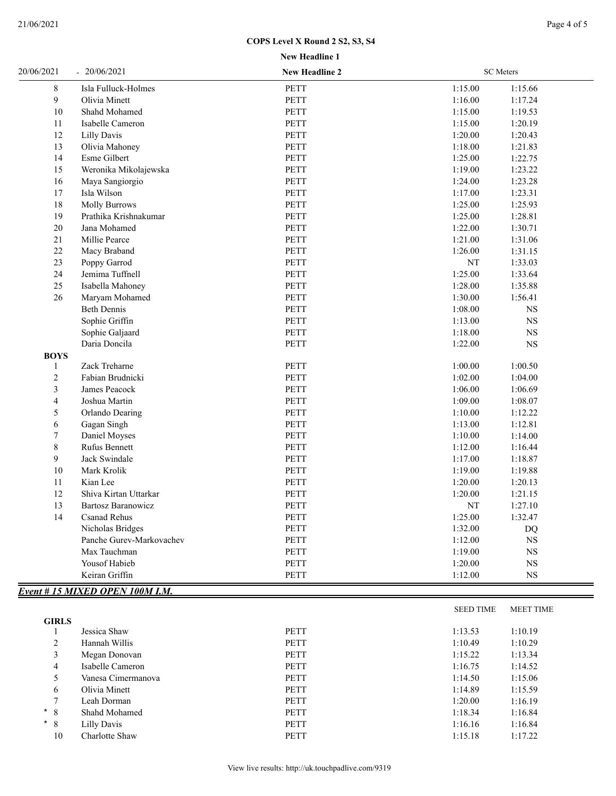| <b>New Headline 1</b> |  |
|-----------------------|--|
|                       |  |

| 20/06/2021          | $-20/06/2021$                   | <b>New Headline 2</b> | <b>SC</b> Meters |                  |
|---------------------|---------------------------------|-----------------------|------------------|------------------|
| 8                   | Isla Fulluck-Holmes             | PETT                  | 1:15.00          | 1:15.66          |
| 9                   | Olivia Minett                   | PETT                  | 1:16.00          | 1:17.24          |
| 10                  | Shahd Mohamed                   | PETT                  | 1:15.00          | 1:19.53          |
| 11                  | Isabelle Cameron                | PETT                  | 1:15.00          | 1:20.19          |
| 12                  | Lilly Davis                     | <b>PETT</b>           | 1:20.00          | 1:20.43          |
| 13                  | Olivia Mahoney                  | PETT                  | 1:18.00          | 1:21.83          |
| 14                  | Esme Gilbert                    | PETT                  | 1:25.00          | 1:22.75          |
| 15                  | Weronika Mikolajewska           | PETT                  | 1:19.00          | 1:23.22          |
| 16                  | Maya Sangiorgio                 | PETT                  | 1:24.00          | 1:23.28          |
| 17                  | Isla Wilson                     | PETT                  | 1:17.00          | 1:23.31          |
| 18                  | <b>Molly Burrows</b>            | PETT                  | 1:25.00          | 1:25.93          |
| 19                  | Prathika Krishnakumar           | PETT                  | 1:25.00          | 1:28.81          |
| $20\,$              | Jana Mohamed                    | PETT                  | 1:22.00          | 1:30.71          |
|                     |                                 |                       |                  |                  |
| $21\,$              | Millie Pearce                   | PETT                  | 1:21.00          | 1:31.06          |
| $22\,$              | Macy Braband                    | PETT                  | 1:26.00          | 1:31.15          |
| 23                  | Poppy Garrod                    | PETT                  | $\rm{NT}$        | 1:33.03          |
| 24                  | Jemima Tuffnell                 | PETT                  | 1:25.00          | 1:33.64          |
| 25                  | Isabella Mahoney                | PETT                  | 1:28.00          | 1:35.88          |
| 26                  | Maryam Mohamed                  | PETT                  | 1:30.00          | 1:56.41          |
|                     | <b>Beth Dennis</b>              | PETT                  | 1:08.00          | $_{\rm NS}$      |
|                     | Sophie Griffin                  | <b>PETT</b>           | 1:13.00          | $_{\rm NS}$      |
|                     | Sophie Galjaard                 | <b>PETT</b>           | 1:18.00          | $_{\rm NS}$      |
|                     | Daria Doncila                   | <b>PETT</b>           | 1:22.00          | $_{\rm NS}$      |
| <b>BOYS</b>         |                                 |                       |                  |                  |
| 1                   | Zack Treharne                   | PETT                  | 1:00.00          | 1:00.50          |
| $\boldsymbol{2}$    | Fabian Brudnicki                | PETT                  | 1:02.00          | 1:04.00          |
| 3                   | James Peacock                   | PETT                  | 1:06.00          | 1:06.69          |
| 4                   | Joshua Martin                   | PETT                  | 1:09.00          | 1:08.07          |
| 5                   | Orlando Dearing                 | PETT                  | 1:10.00          | 1:12.22          |
| 6                   | Gagan Singh                     | PETT                  | 1:13.00          | 1:12.81          |
| 7                   | Daniel Moyses                   | PETT                  | 1:10.00          | 1:14.00          |
| 8                   | Rufus Bennett                   | PETT                  | 1:12.00          | 1:16.44          |
| 9                   | Jack Swindale                   | PETT                  | 1:17.00          | 1:18.87          |
| 10                  | Mark Krolik                     | PETT                  | 1:19.00          | 1:19.88          |
| 11                  | Kian Lee                        | PETT                  | 1:20.00          | 1:20.13          |
| 12                  | Shiva Kirtan Uttarkar           | PETT                  | 1:20.00          | 1:21.15          |
| 13                  | <b>Bartosz Baranowicz</b>       | <b>PETT</b>           | NT               | 1:27.10          |
| 14                  | Csanad Rehus                    | PETT                  | 1:25.00          | 1:32.47          |
|                     | Nicholas Bridges                | PETT                  | 1:32.00          | DQ               |
|                     | Panche Gurev-Markovachev        | PETT                  | 1:12.00          | $_{\rm NS}$      |
|                     | Max Tauchman                    | PETT                  | 1:19.00          | $_{\rm NS}$      |
|                     | Yousof Habieb                   | PETT                  | 1:20.00          | $_{\rm NS}$      |
|                     | Keiran Griffin                  | <b>PETT</b>           | 1:12.00          | $_{\rm NS}$      |
|                     |                                 |                       |                  |                  |
|                     | Event # 15 MIXED OPEN 100M I.M. |                       |                  |                  |
|                     |                                 |                       | <b>SEED TIME</b> | <b>MEET TIME</b> |
| <b>GIRLS</b>        |                                 |                       |                  |                  |
| 1                   | Jessica Shaw                    | PETT                  | 1:13.53          | 1:10.19          |
| $\overline{c}$      | Hannah Willis                   | PETT                  | 1:10.49          | 1:10.29          |
| 3                   | Megan Donovan                   | PETT                  | 1:15.22          | 1:13.34          |
| 4                   | Isabelle Cameron                | PETT                  | 1:16.75          | 1:14.52          |
|                     | Vanesa Cimermanova              | PETT                  | 1:14.50          |                  |
| 5                   |                                 |                       |                  | 1:15.06          |
| 6                   | Olivia Minett                   | <b>PETT</b>           | 1:14.89          | 1:15.59          |
| 7                   | Leah Dorman                     | PETT                  | 1:20.00          | 1:16.19          |
| $\,8\,$             | Shahd Mohamed                   | PETT                  | 1:18.34          | 1:16.84          |
| $\,8\,$<br>$^\star$ | <b>Lilly Davis</b>              | PETT                  | 1:16.16          | 1:16.84          |
| 10                  | Charlotte Shaw                  | PETT                  | 1:15.18          | 1:17.22          |